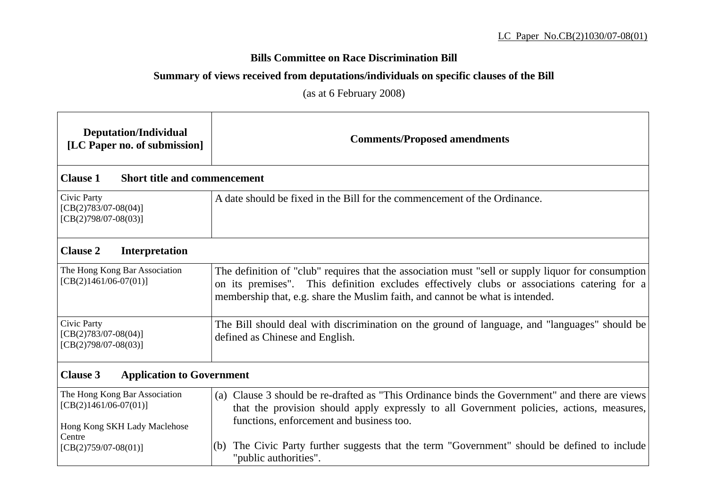## **Bills Committee on Race Discrimination Bill**

## **Summary of views received from deputations/individuals on specific clauses of the Bill**

(as at 6 February 2008)

| <b>Deputation/Individual</b><br>[LC Paper no. of submission]                             | <b>Comments/Proposed amendments</b>                                                                                                                                                                                                                                                |  |
|------------------------------------------------------------------------------------------|------------------------------------------------------------------------------------------------------------------------------------------------------------------------------------------------------------------------------------------------------------------------------------|--|
| <b>Clause 1</b><br><b>Short title and commencement</b>                                   |                                                                                                                                                                                                                                                                                    |  |
| Civic Party<br>$[CB(2)783/07-08(04)]$<br>$[CB(2)798/07-08(03)]$                          | A date should be fixed in the Bill for the commencement of the Ordinance.                                                                                                                                                                                                          |  |
| <b>Clause 2</b><br>Interpretation                                                        |                                                                                                                                                                                                                                                                                    |  |
| The Hong Kong Bar Association<br>$[CB(2)1461/06-07(01)]$                                 | The definition of "club" requires that the association must "sell or supply liquor for consumption<br>on its premises". This definition excludes effectively clubs or associations catering for a<br>membership that, e.g. share the Muslim faith, and cannot be what is intended. |  |
| Civic Party<br>$[CB(2)783/07-08(04)]$<br>$[CB(2)798/07-08(03)]$                          | The Bill should deal with discrimination on the ground of language, and "languages" should be<br>defined as Chinese and English.                                                                                                                                                   |  |
| <b>Clause 3</b><br><b>Application to Government</b>                                      |                                                                                                                                                                                                                                                                                    |  |
| The Hong Kong Bar Association<br>$[CB(2)1461/06-07(01)]$<br>Hong Kong SKH Lady Maclehose | (a) Clause 3 should be re-drafted as "This Ordinance binds the Government" and there are views<br>that the provision should apply expressly to all Government policies, actions, measures,<br>functions, enforcement and business too.                                             |  |
| Centre<br>$[CB(2)759/07-08(01)]$                                                         | The Civic Party further suggests that the term "Government" should be defined to include<br>(b)<br>"public authorities".                                                                                                                                                           |  |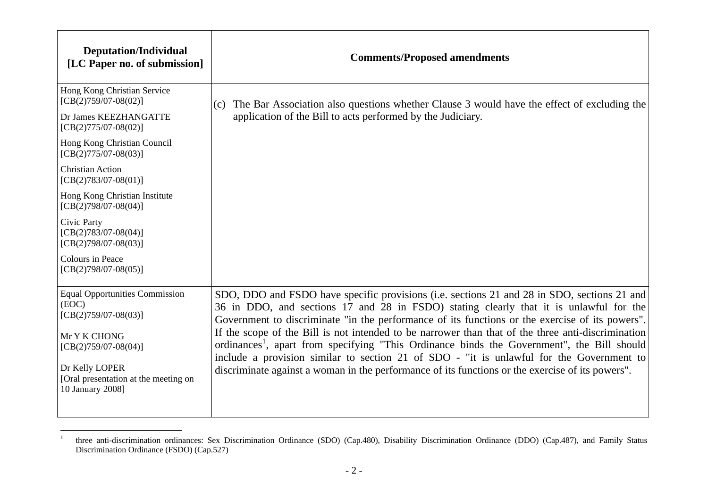| <b>Deputation/Individual</b><br>[LC Paper no. of submission]               | <b>Comments/Proposed amendments</b>                                                                                                                                                                                                                                                      |
|----------------------------------------------------------------------------|------------------------------------------------------------------------------------------------------------------------------------------------------------------------------------------------------------------------------------------------------------------------------------------|
| Hong Kong Christian Service<br>$[CB(2)759/07-08(02)]$                      | The Bar Association also questions whether Clause 3 would have the effect of excluding the<br>(c)                                                                                                                                                                                        |
| Dr James KEEZHANGATTE<br>$[CB(2)775/07-08(02)]$                            | application of the Bill to acts performed by the Judiciary.                                                                                                                                                                                                                              |
| Hong Kong Christian Council<br>$[CB(2)775/07-08(03)]$                      |                                                                                                                                                                                                                                                                                          |
| <b>Christian Action</b><br>$[CB(2)783/07-08(01)]$                          |                                                                                                                                                                                                                                                                                          |
| Hong Kong Christian Institute<br>$[CB(2)798/07-08(04)]$                    |                                                                                                                                                                                                                                                                                          |
| Civic Party<br>$[CB(2)783/07-08(04)]$<br>$[CB(2)798/07-08(03)]$            |                                                                                                                                                                                                                                                                                          |
| Colours in Peace<br>$[CB(2)798/07-08(05)]$                                 |                                                                                                                                                                                                                                                                                          |
| <b>Equal Opportunities Commission</b><br>(EOC)<br>$[CB(2)759/07-08(03)]$   | SDO, DDO and FSDO have specific provisions (i.e. sections 21 and 28 in SDO, sections 21 and<br>36 in DDO, and sections 17 and 28 in FSDO) stating clearly that it is unlawful for the<br>Government to discriminate "in the performance of its functions or the exercise of its powers". |
| Mr Y K CHONG                                                               | If the scope of the Bill is not intended to be narrower than that of the three anti-discrimination<br>ordinances <sup>1</sup> , apart from specifying "This Ordinance binds the Government", the Bill should                                                                             |
| $[CB(2)759/07-08(04)]$                                                     | include a provision similar to section 21 of SDO - "it is unlawful for the Government to                                                                                                                                                                                                 |
| Dr Kelly LOPER<br>[Oral presentation at the meeting on<br>10 January 2008] | discriminate against a woman in the performance of its functions or the exercise of its powers".                                                                                                                                                                                         |
|                                                                            |                                                                                                                                                                                                                                                                                          |

<sup>&</sup>lt;sup>1</sup> three anti-discrimination ordinances: Sex Discrimination Ordinance (SDO) (Cap.480), Disability Discrimination Ordinance (DDO) (Cap.487), and Family Status Discrimination Ordinance (FSDO) (Cap.527)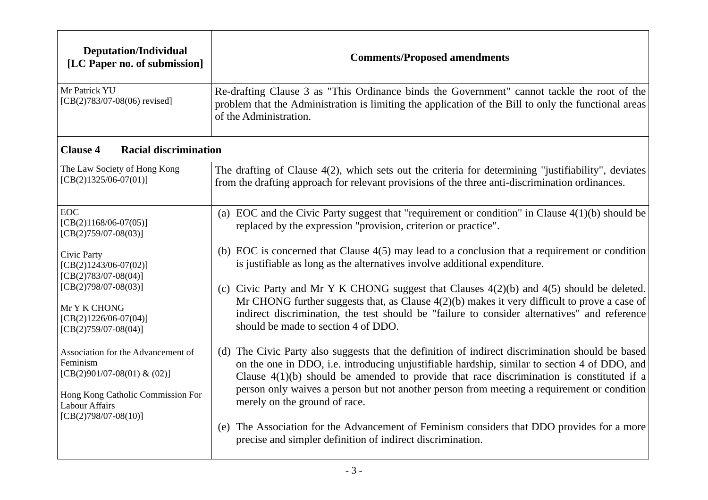| <b>Deputation/Individual</b><br>[LC Paper no. of submission]                                                       | <b>Comments/Proposed amendments</b>                                                                                                                                                                                                                                                                                                                                                          |
|--------------------------------------------------------------------------------------------------------------------|----------------------------------------------------------------------------------------------------------------------------------------------------------------------------------------------------------------------------------------------------------------------------------------------------------------------------------------------------------------------------------------------|
| Mr Patrick YU<br>$[CB(2)783/07-08(06)$ revised]                                                                    | Re-drafting Clause 3 as "This Ordinance binds the Government" cannot tackle the root of the<br>problem that the Administration is limiting the application of the Bill to only the functional areas<br>of the Administration.                                                                                                                                                                |
| <b>Racial discrimination</b><br><b>Clause 4</b>                                                                    |                                                                                                                                                                                                                                                                                                                                                                                              |
| The Law Society of Hong Kong<br>$[CB(2)1325/06-07(01)]$                                                            | The drafting of Clause 4(2), which sets out the criteria for determining "justifiability", deviates<br>from the drafting approach for relevant provisions of the three anti-discrimination ordinances.                                                                                                                                                                                       |
| <b>EOC</b><br>$[CB(2)1168/06-07(05)]$<br>$[CB(2)759/07-08(03)]$                                                    | (a) EOC and the Civic Party suggest that "requirement or condition" in Clause $4(1)(b)$ should be<br>replaced by the expression "provision, criterion or practice".                                                                                                                                                                                                                          |
| Civic Party<br>$[CB(2)1243/06-07(02)]$<br>$[CB(2)783/07-08(04)]$                                                   | (b) EOC is concerned that Clause $4(5)$ may lead to a conclusion that a requirement or condition<br>is justifiable as long as the alternatives involve additional expenditure.                                                                                                                                                                                                               |
| $[CB(2)798/07-08(03)]$<br>Mr Y K CHONG<br>$[CB(2)1226/06-07(04)]$<br>$[CB(2)759/07-08(04)]$                        | (c) Civic Party and Mr Y K CHONG suggest that Clauses $4(2)(b)$ and $4(5)$ should be deleted.<br>Mr CHONG further suggests that, as Clause $4(2)(b)$ makes it very difficult to prove a case of<br>indirect discrimination, the test should be "failure to consider alternatives" and reference<br>should be made to section 4 of DDO.                                                       |
| Association for the Advancement of<br>Feminism<br>[CB(2)901/07-08(01) & (02)]<br>Hong Kong Catholic Commission For | (d) The Civic Party also suggests that the definition of indirect discrimination should be based<br>on the one in DDO, i.e. introducing unjustifiable hardship, similar to section 4 of DDO, and<br>Clause $4(1)(b)$ should be amended to provide that race discrimination is constituted if a<br>person only waives a person but not another person from meeting a requirement or condition |
| Labour Affairs<br>$[CB(2)798/07-08(10)]$                                                                           | merely on the ground of race.<br>The Association for the Advancement of Feminism considers that DDO provides for a more<br>(e)<br>precise and simpler definition of indirect discrimination.                                                                                                                                                                                                 |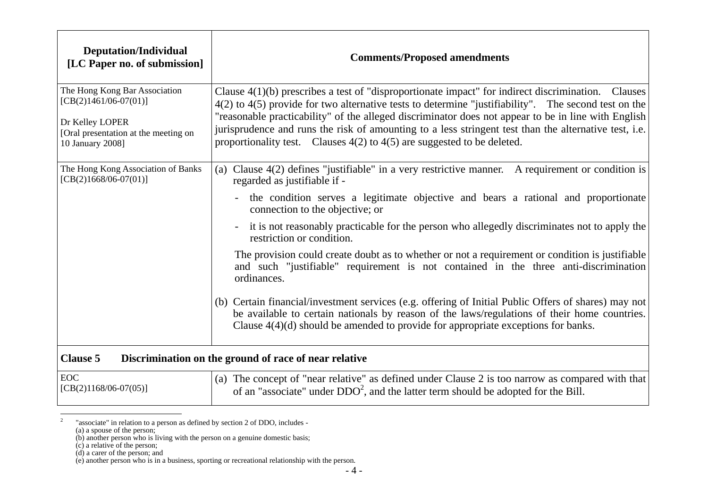| <b>Deputation/Individual</b><br>[LC Paper no. of submission]                                                                            | <b>Comments/Proposed amendments</b>                                                                                                                                                                                                                                                                                                                                                                                                                                                                                                                                                                                                                                                                                                                                                                                                                                                              |
|-----------------------------------------------------------------------------------------------------------------------------------------|--------------------------------------------------------------------------------------------------------------------------------------------------------------------------------------------------------------------------------------------------------------------------------------------------------------------------------------------------------------------------------------------------------------------------------------------------------------------------------------------------------------------------------------------------------------------------------------------------------------------------------------------------------------------------------------------------------------------------------------------------------------------------------------------------------------------------------------------------------------------------------------------------|
| The Hong Kong Bar Association<br>$[CB(2)1461/06-07(01)]$<br>Dr Kelley LOPER<br>[Oral presentation at the meeting on<br>10 January 2008] | Clause $4(1)(b)$ prescribes a test of "disproportionate impact" for indirect discrimination. Clauses<br>4(2) to 4(5) provide for two alternative tests to determine "justifiability". The second test on the<br>"reasonable practicability" of the alleged discriminator does not appear to be in line with English<br>jurisprudence and runs the risk of amounting to a less stringent test than the alternative test, i.e.<br>proportionality test. Clauses $4(2)$ to $4(5)$ are suggested to be deleted.                                                                                                                                                                                                                                                                                                                                                                                      |
| The Hong Kong Association of Banks<br>$[CB(2)1668/06-07(01)]$                                                                           | (a) Clause 4(2) defines "justifiable" in a very restrictive manner. A requirement or condition is<br>regarded as justifiable if -<br>the condition serves a legitimate objective and bears a rational and proportionate<br>connection to the objective; or<br>it is not reasonably practicable for the person who allegedly discriminates not to apply the<br>restriction or condition.<br>The provision could create doubt as to whether or not a requirement or condition is justifiable<br>and such "justifiable" requirement is not contained in the three anti-discrimination<br>ordinances.<br>(b) Certain financial/investment services (e.g. offering of Initial Public Offers of shares) may not<br>be available to certain nationals by reason of the laws/regulations of their home countries.<br>Clause $4(4)(d)$ should be amended to provide for appropriate exceptions for banks. |
| <b>Clause 5</b>                                                                                                                         | Discrimination on the ground of race of near relative                                                                                                                                                                                                                                                                                                                                                                                                                                                                                                                                                                                                                                                                                                                                                                                                                                            |
| <b>EOC</b><br>$[CB(2)1168/06-07(05)]$                                                                                                   | (a) The concept of "near relative" as defined under Clause 2 is too narrow as compared with that<br>of an "associate" under $DDO2$ , and the latter term should be adopted for the Bill.                                                                                                                                                                                                                                                                                                                                                                                                                                                                                                                                                                                                                                                                                                         |

<sup>&</sup>lt;sup>2</sup> "associate" in relation to a person as defined by section 2 of DDO, includes -

(d) a carer of the person; and

<sup>(</sup>a) a spouse of the person;

<sup>(</sup>b) another person who is living with the person on a genuine domestic basis;

<sup>(</sup>c) a relative of the person;

<sup>(</sup>e) another person who is in a business, sporting or recreational relationship with the person.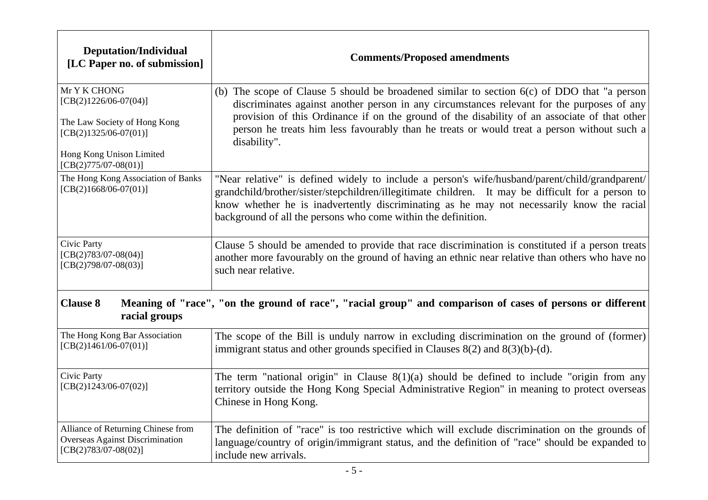| <b>Deputation/Individual</b><br>[LC Paper no. of submission]                                       | <b>Comments/Proposed amendments</b>                                                                                                                                                                                                                                                                                                                                                                        |
|----------------------------------------------------------------------------------------------------|------------------------------------------------------------------------------------------------------------------------------------------------------------------------------------------------------------------------------------------------------------------------------------------------------------------------------------------------------------------------------------------------------------|
| Mr Y K CHONG<br>$[CB(2)1226/06-07(04)]$<br>The Law Society of Hong Kong<br>$[CB(2)1325/06-07(01)]$ | (b) The scope of Clause 5 should be broadened similar to section $6(c)$ of DDO that "a person"<br>discriminates against another person in any circumstances relevant for the purposes of any<br>provision of this Ordinance if on the ground of the disability of an associate of that other<br>person he treats him less favourably than he treats or would treat a person without such a<br>disability". |
| Hong Kong Unison Limited<br>$[CB(2)775/07-08(01)]$                                                 |                                                                                                                                                                                                                                                                                                                                                                                                            |
| The Hong Kong Association of Banks<br>$[CB(2)1668/06-07(01)]$                                      | "Near relative" is defined widely to include a person's wife/husband/parent/child/grandparent/<br>grandchild/brother/sister/stepchildren/illegitimate children. It may be difficult for a person to<br>know whether he is inadvertently discriminating as he may not necessarily know the racial<br>background of all the persons who come within the definition.                                          |
| Civic Party<br>$[CB(2)783/07-08(04)]$<br>$[CB(2)798/07-08(03)]$                                    | Clause 5 should be amended to provide that race discrimination is constituted if a person treats<br>another more favourably on the ground of having an ethnic near relative than others who have no<br>such near relative.                                                                                                                                                                                 |
| <b>Clause 8</b><br>racial groups                                                                   | Meaning of "race", "on the ground of race", "racial group" and comparison of cases of persons or different                                                                                                                                                                                                                                                                                                 |
| The Hong Kong Bar Association<br>$[CB(2)1461/06-07(01)]$                                           | The scope of the Bill is unduly narrow in excluding discrimination on the ground of (former)<br>immigrant status and other grounds specified in Clauses $8(2)$ and $8(3)(b)-(d)$ .                                                                                                                                                                                                                         |
| Civic Party<br>$[CB(2)1243/06-07(02)]$                                                             | The term "national origin" in Clause $8(1)(a)$ should be defined to include "origin from any<br>territory outside the Hong Kong Special Administrative Region" in meaning to protect overseas<br>Chinese in Hong Kong.                                                                                                                                                                                     |
| Alliance of Returning Chinese from<br>Overseas Against Discrimination<br>$[CB(2)783/07-08(02)]$    | The definition of "race" is too restrictive which will exclude discrimination on the grounds of<br>language/country of origin/immigrant status, and the definition of "race" should be expanded to<br>include new arrivals.                                                                                                                                                                                |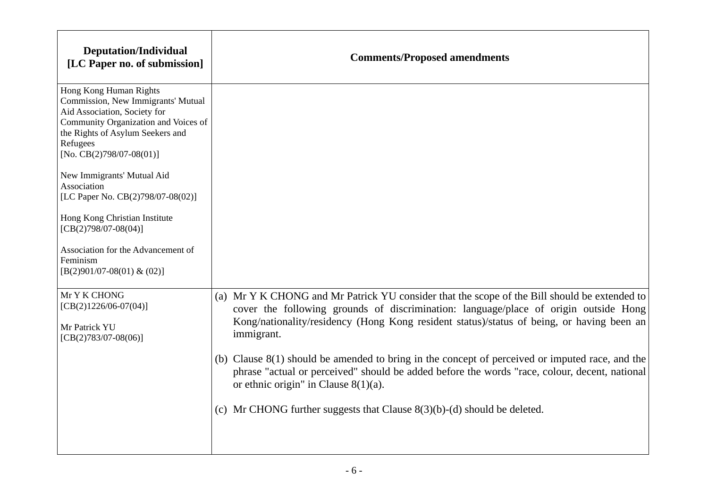| <b>Deputation/Individual</b><br>[LC Paper no. of submission]                                                                                                                                                     | <b>Comments/Proposed amendments</b>                                                                                                                                                                                                                                                             |
|------------------------------------------------------------------------------------------------------------------------------------------------------------------------------------------------------------------|-------------------------------------------------------------------------------------------------------------------------------------------------------------------------------------------------------------------------------------------------------------------------------------------------|
| Hong Kong Human Rights<br>Commission, New Immigrants' Mutual<br>Aid Association, Society for<br>Community Organization and Voices of<br>the Rights of Asylum Seekers and<br>Refugees<br>[No. CB(2)798/07-08(01)] |                                                                                                                                                                                                                                                                                                 |
| New Immigrants' Mutual Aid<br>Association<br>[LC Paper No. CB(2)798/07-08(02)]                                                                                                                                   |                                                                                                                                                                                                                                                                                                 |
| Hong Kong Christian Institute<br>$[CB(2)798/07-08(04)]$                                                                                                                                                          |                                                                                                                                                                                                                                                                                                 |
| Association for the Advancement of<br>Feminism<br>$[B(2)901/07-08(01) \& (02)]$                                                                                                                                  |                                                                                                                                                                                                                                                                                                 |
| Mr Y K CHONG<br>$[CB(2)1226/06-07(04)]$<br>Mr Patrick YU<br>$[CB(2)783/07-08(06)]$                                                                                                                               | (a) Mr Y K CHONG and Mr Patrick YU consider that the scope of the Bill should be extended to<br>cover the following grounds of discrimination: language/place of origin outside Hong<br>Kong/nationality/residency (Hong Kong resident status)/status of being, or having been an<br>immigrant. |
|                                                                                                                                                                                                                  | (b) Clause $8(1)$ should be amended to bring in the concept of perceived or imputed race, and the<br>phrase "actual or perceived" should be added before the words "race, colour, decent, national<br>or ethnic origin" in Clause $8(1)(a)$ .                                                   |
|                                                                                                                                                                                                                  | (c) Mr CHONG further suggests that Clause $8(3)(b)-(d)$ should be deleted.                                                                                                                                                                                                                      |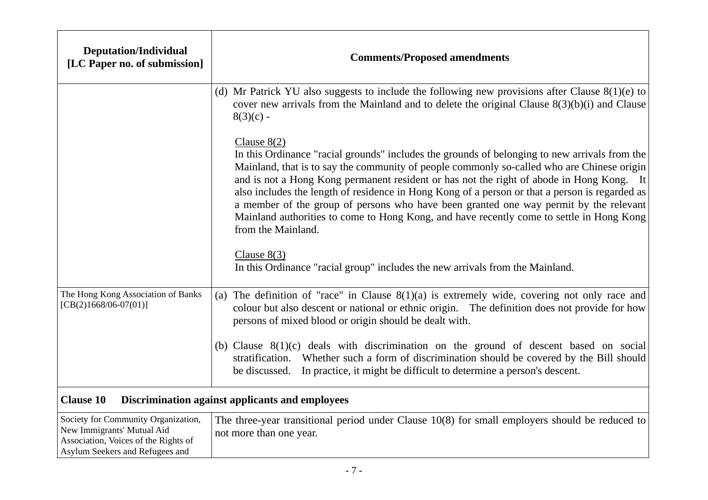| <b>Deputation/Individual</b><br>[LC Paper no. of submission]                                                                                 | <b>Comments/Proposed amendments</b>                                                                                                                                                                                                                                                                                                                                                                                                                                                                                                                                                                                   |
|----------------------------------------------------------------------------------------------------------------------------------------------|-----------------------------------------------------------------------------------------------------------------------------------------------------------------------------------------------------------------------------------------------------------------------------------------------------------------------------------------------------------------------------------------------------------------------------------------------------------------------------------------------------------------------------------------------------------------------------------------------------------------------|
|                                                                                                                                              | (d) Mr Patrick YU also suggests to include the following new provisions after Clause $8(1)(e)$ to<br>cover new arrivals from the Mainland and to delete the original Clause $8(3)(b)(i)$ and Clause<br>$8(3)(c)$ -                                                                                                                                                                                                                                                                                                                                                                                                    |
|                                                                                                                                              | Clause $8(2)$<br>In this Ordinance "racial grounds" includes the grounds of belonging to new arrivals from the<br>Mainland, that is to say the community of people commonly so-called who are Chinese origin<br>and is not a Hong Kong permanent resident or has not the right of abode in Hong Kong. It<br>also includes the length of residence in Hong Kong of a person or that a person is regarded as<br>a member of the group of persons who have been granted one way permit by the relevant<br>Mainland authorities to come to Hong Kong, and have recently come to settle in Hong Kong<br>from the Mainland. |
|                                                                                                                                              | Clause $8(3)$<br>In this Ordinance "racial group" includes the new arrivals from the Mainland.                                                                                                                                                                                                                                                                                                                                                                                                                                                                                                                        |
| The Hong Kong Association of Banks<br>$[CB(2)1668/06-07(01)]$                                                                                | (a) The definition of "race" in Clause $8(1)(a)$ is extremely wide, covering not only race and<br>colour but also descent or national or ethnic origin. The definition does not provide for how<br>persons of mixed blood or origin should be dealt with.                                                                                                                                                                                                                                                                                                                                                             |
|                                                                                                                                              | (b) Clause $8(1)(c)$ deals with discrimination on the ground of descent based on social<br>stratification. Whether such a form of discrimination should be covered by the Bill should<br>In practice, it might be difficult to determine a person's descent.<br>be discussed.                                                                                                                                                                                                                                                                                                                                         |
| <b>Clause 10</b>                                                                                                                             | Discrimination against applicants and employees                                                                                                                                                                                                                                                                                                                                                                                                                                                                                                                                                                       |
| Society for Community Organization,<br>New Immigrants' Mutual Aid<br>Association, Voices of the Rights of<br>Asylum Seekers and Refugees and | The three-year transitional period under Clause $10(8)$ for small employers should be reduced to<br>not more than one year.                                                                                                                                                                                                                                                                                                                                                                                                                                                                                           |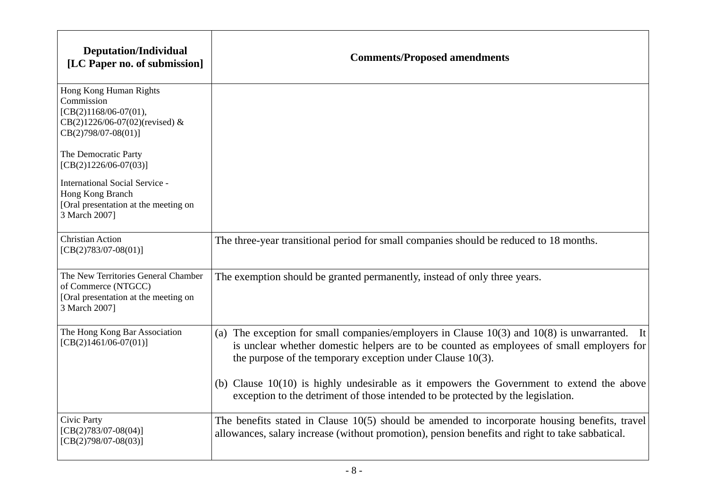| <b>Deputation/Individual</b><br>[LC Paper no. of submission]                                                                  | <b>Comments/Proposed amendments</b>                                                                                                                                                                                                                            |
|-------------------------------------------------------------------------------------------------------------------------------|----------------------------------------------------------------------------------------------------------------------------------------------------------------------------------------------------------------------------------------------------------------|
| Hong Kong Human Rights<br>Commission<br>$[CB(2)1168/06-07(01),$<br>$CB(2)1226/06-07(02)$ (revised) &<br>$CB(2)798/07-08(01)]$ |                                                                                                                                                                                                                                                                |
| The Democratic Party<br>$[CB(2)1226/06-07(03)]$                                                                               |                                                                                                                                                                                                                                                                |
| <b>International Social Service -</b><br>Hong Kong Branch<br>[Oral presentation at the meeting on<br>3 March 2007]            |                                                                                                                                                                                                                                                                |
| <b>Christian Action</b><br>$[CB(2)783/07-08(01)]$                                                                             | The three-year transitional period for small companies should be reduced to 18 months.                                                                                                                                                                         |
| The New Territories General Chamber<br>of Commerce (NTGCC)<br>[Oral presentation at the meeting on<br>3 March 2007]           | The exemption should be granted permanently, instead of only three years.                                                                                                                                                                                      |
| The Hong Kong Bar Association<br>$[CB(2)1461/06-07(01)]$                                                                      | (a) The exception for small companies/employers in Clause $10(3)$ and $10(8)$ is unwarranted. It<br>is unclear whether domestic helpers are to be counted as employees of small employers for<br>the purpose of the temporary exception under Clause $10(3)$ . |
|                                                                                                                               | (b) Clause $10(10)$ is highly undesirable as it empowers the Government to extend the above<br>exception to the detriment of those intended to be protected by the legislation.                                                                                |
| Civic Party<br>$[CB(2)783/07-08(04)]$<br>$[CB(2)798/07-08(03)]$                                                               | The benefits stated in Clause 10(5) should be amended to incorporate housing benefits, travel<br>allowances, salary increase (without promotion), pension benefits and right to take sabbatical.                                                               |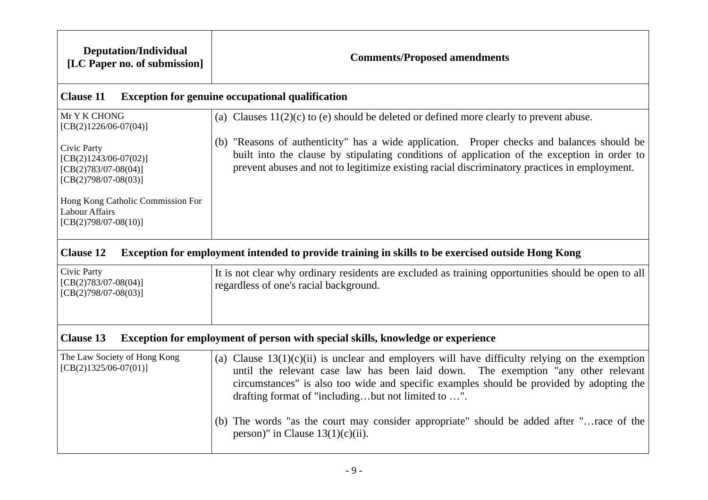| <b>Deputation/Individual</b><br>[LC Paper no. of submission]                                                          | <b>Comments/Proposed amendments</b>                                                                                                                                                                                                                                                                                                     |  |
|-----------------------------------------------------------------------------------------------------------------------|-----------------------------------------------------------------------------------------------------------------------------------------------------------------------------------------------------------------------------------------------------------------------------------------------------------------------------------------|--|
| <b>Clause 11</b>                                                                                                      | <b>Exception for genuine occupational qualification</b>                                                                                                                                                                                                                                                                                 |  |
| Mr Y K CHONG<br>$[CB(2)1226/06-07(04)]$                                                                               | (a) Clauses $11(2)(c)$ to (e) should be deleted or defined more clearly to prevent abuse.                                                                                                                                                                                                                                               |  |
| Civic Party<br>$[CB(2)1243/06-07(02)]$<br>$[CB(2)783/07-08(04)]$<br>$[CB(2)798/07-08(03)]$                            | (b) "Reasons of authenticity" has a wide application. Proper checks and balances should be<br>built into the clause by stipulating conditions of application of the exception in order to<br>prevent abuses and not to legitimize existing racial discriminatory practices in employment.                                               |  |
| Hong Kong Catholic Commission For<br><b>Labour Affairs</b><br>$[CB(2)798/07-08(10)]$                                  |                                                                                                                                                                                                                                                                                                                                         |  |
| <b>Clause 12</b><br>Exception for employment intended to provide training in skills to be exercised outside Hong Kong |                                                                                                                                                                                                                                                                                                                                         |  |
| Civic Party<br>$[CB(2)783/07-08(04)]$<br>$[CB(2)798/07-08(03)]$                                                       | It is not clear why ordinary residents are excluded as training opportunities should be open to all<br>regardless of one's racial background.                                                                                                                                                                                           |  |
| <b>Clause 13</b><br>Exception for employment of person with special skills, knowledge or experience                   |                                                                                                                                                                                                                                                                                                                                         |  |
| The Law Society of Hong Kong<br>$[CB(2)1325/06-07(01)]$                                                               | (a) Clause $13(1)(c)(ii)$ is unclear and employers will have difficulty relying on the exemption<br>until the relevant case law has been laid down. The exemption "any other relevant<br>circumstances" is also too wide and specific examples should be provided by adopting the<br>drafting format of "includingbut not limited to ". |  |
|                                                                                                                       | (b) The words "as the court may consider appropriate" should be added after "race of the<br>person)" in Clause $13(1)(c)(ii)$ .                                                                                                                                                                                                         |  |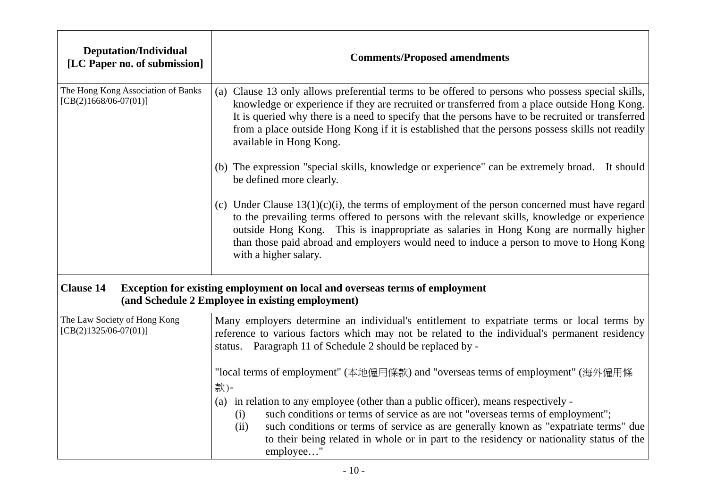| <b>Deputation/Individual</b><br>[LC Paper no. of submission]  | <b>Comments/Proposed amendments</b>                                                                                                                                                                                                                                                                                                                                                                                                  |
|---------------------------------------------------------------|--------------------------------------------------------------------------------------------------------------------------------------------------------------------------------------------------------------------------------------------------------------------------------------------------------------------------------------------------------------------------------------------------------------------------------------|
| The Hong Kong Association of Banks<br>$[CB(2)1668/06-07(01)]$ | (a) Clause 13 only allows preferential terms to be offered to persons who possess special skills,<br>knowledge or experience if they are recruited or transferred from a place outside Hong Kong.<br>It is queried why there is a need to specify that the persons have to be recruited or transferred<br>from a place outside Hong Kong if it is established that the persons possess skills not readily<br>available in Hong Kong. |
|                                                               | (b) The expression "special skills, knowledge or experience" can be extremely broad. It should<br>be defined more clearly.                                                                                                                                                                                                                                                                                                           |
|                                                               | (c) Under Clause $13(1)(c)(i)$ , the terms of employment of the person concerned must have regard<br>to the prevailing terms offered to persons with the relevant skills, knowledge or experience<br>outside Hong Kong. This is inappropriate as salaries in Hong Kong are normally higher<br>than those paid abroad and employers would need to induce a person to move to Hong Kong<br>with a higher salary.                       |
| <b>Clause 14</b>                                              | Exception for existing employment on local and overseas terms of employment<br>(and Schedule 2 Employee in existing employment)                                                                                                                                                                                                                                                                                                      |
| The Law Society of Hong Kong<br>$[CB(2)1325/06-07(01)]$       | Many employers determine an individual's entitlement to expatriate terms or local terms by<br>reference to various factors which may not be related to the individual's permanent residency<br>status. Paragraph 11 of Schedule 2 should be replaced by -                                                                                                                                                                            |
|                                                               | "local terms of employment" (本地僱用條款) and "overseas terms of employment" (海外僱用條<br>款)-                                                                                                                                                                                                                                                                                                                                                |
|                                                               | (a) in relation to any employee (other than a public officer), means respectively -<br>such conditions or terms of service as are not "overseas terms of employment";<br>(i)<br>such conditions or terms of service as are generally known as "expatriate terms" due<br>(ii)<br>to their being related in whole or in part to the residency or nationality status of the<br>employee"                                                |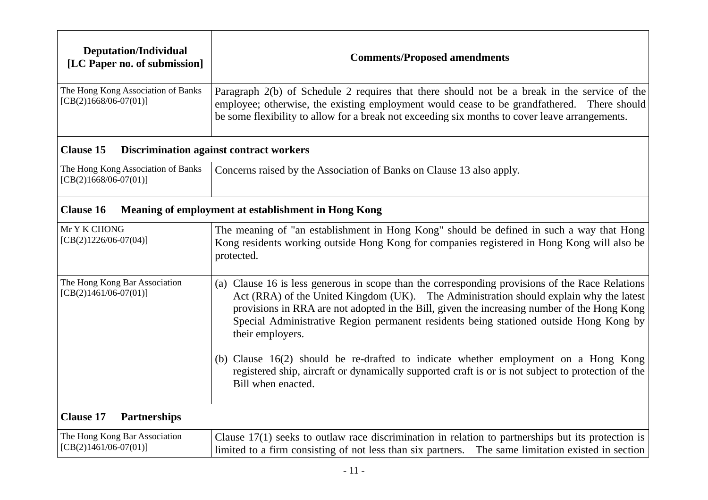| <b>Deputation/Individual</b><br>[LC Paper no. of submission]            | <b>Comments/Proposed amendments</b>                                                                                                                                                                                                                                                                                                                                                                    |  |
|-------------------------------------------------------------------------|--------------------------------------------------------------------------------------------------------------------------------------------------------------------------------------------------------------------------------------------------------------------------------------------------------------------------------------------------------------------------------------------------------|--|
| The Hong Kong Association of Banks<br>$[CB(2)1668/06-07(01)]$           | Paragraph 2(b) of Schedule 2 requires that there should not be a break in the service of the<br>employee; otherwise, the existing employment would cease to be grandfathered. There should<br>be some flexibility to allow for a break not exceeding six months to cover leave arrangements.                                                                                                           |  |
| <b>Clause 15</b>                                                        | <b>Discrimination against contract workers</b>                                                                                                                                                                                                                                                                                                                                                         |  |
| The Hong Kong Association of Banks<br>$[CB(2)1668/06-07(01)]$           | Concerns raised by the Association of Banks on Clause 13 also apply.                                                                                                                                                                                                                                                                                                                                   |  |
| <b>Clause 16</b><br>Meaning of employment at establishment in Hong Kong |                                                                                                                                                                                                                                                                                                                                                                                                        |  |
| Mr Y K CHONG<br>$[CB(2)1226/06-07(04)]$                                 | The meaning of "an establishment in Hong Kong" should be defined in such a way that Hong<br>Kong residents working outside Hong Kong for companies registered in Hong Kong will also be<br>protected.                                                                                                                                                                                                  |  |
| The Hong Kong Bar Association<br>$[CB(2)1461/06-07(01)]$                | (a) Clause 16 is less generous in scope than the corresponding provisions of the Race Relations<br>Act (RRA) of the United Kingdom (UK). The Administration should explain why the latest<br>provisions in RRA are not adopted in the Bill, given the increasing number of the Hong Kong<br>Special Administrative Region permanent residents being stationed outside Hong Kong by<br>their employers. |  |
|                                                                         | (b) Clause 16(2) should be re-drafted to indicate whether employment on a Hong Kong<br>registered ship, aircraft or dynamically supported craft is or is not subject to protection of the<br>Bill when enacted.                                                                                                                                                                                        |  |
| <b>Clause 17</b><br><b>Partnerships</b>                                 |                                                                                                                                                                                                                                                                                                                                                                                                        |  |
| The Hong Kong Bar Association<br>$[CB(2)1461/06-07(01)]$                | Clause $17(1)$ seeks to outlaw race discrimination in relation to partnerships but its protection is<br>limited to a firm consisting of not less than six partners. The same limitation existed in section                                                                                                                                                                                             |  |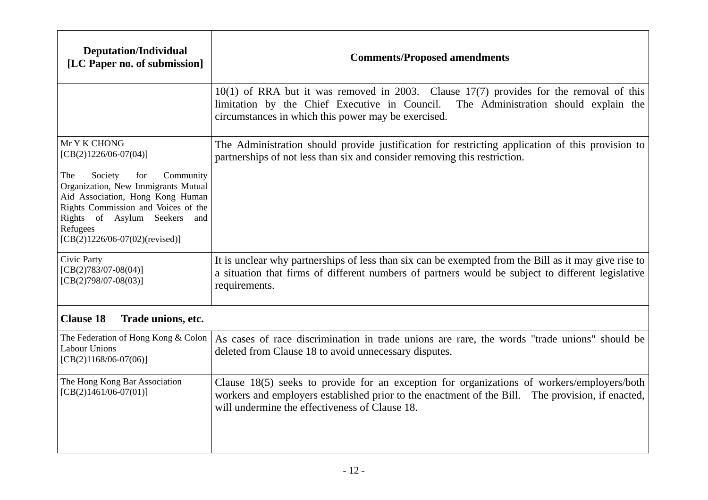| <b>Deputation/Individual</b><br>[LC Paper no. of submission]                                                                                                                                                                            | <b>Comments/Proposed amendments</b>                                                                                                                                                                                                              |
|-----------------------------------------------------------------------------------------------------------------------------------------------------------------------------------------------------------------------------------------|--------------------------------------------------------------------------------------------------------------------------------------------------------------------------------------------------------------------------------------------------|
|                                                                                                                                                                                                                                         | $10(1)$ of RRA but it was removed in 2003. Clause 17(7) provides for the removal of this<br>limitation by the Chief Executive in Council.<br>The Administration should explain the<br>circumstances in which this power may be exercised.        |
| Mr Y K CHONG<br>$[CB(2)1226/06-07(04)]$                                                                                                                                                                                                 | The Administration should provide justification for restricting application of this provision to<br>partnerships of not less than six and consider removing this restriction.                                                                    |
| Society<br>for<br>Community<br>The<br>Organization, New Immigrants Mutual<br>Aid Association, Hong Kong Human<br>Rights Commission and Voices of the<br>Rights of Asylum Seekers<br>and<br>Refugees<br>$[CB(2)1226/06-07(02)(revised)]$ |                                                                                                                                                                                                                                                  |
| Civic Party<br>$[CB(2)783/07-08(04)]$<br>$[CB(2)798/07-08(03)]$                                                                                                                                                                         | It is unclear why partnerships of less than six can be exempted from the Bill as it may give rise to<br>a situation that firms of different numbers of partners would be subject to different legislative<br>requirements.                       |
| <b>Clause 18</b><br>Trade unions, etc.                                                                                                                                                                                                  |                                                                                                                                                                                                                                                  |
| The Federation of Hong Kong & Colon<br>Labour Unions<br>$[CB(2)1168/06-07(06)]$                                                                                                                                                         | As cases of race discrimination in trade unions are rare, the words "trade unions" should be<br>deleted from Clause 18 to avoid unnecessary disputes.                                                                                            |
| The Hong Kong Bar Association<br>$[CB(2)1461/06-07(01)]$                                                                                                                                                                                | Clause 18(5) seeks to provide for an exception for organizations of workers/employers/both<br>workers and employers established prior to the enactment of the Bill. The provision, if enacted,<br>will undermine the effectiveness of Clause 18. |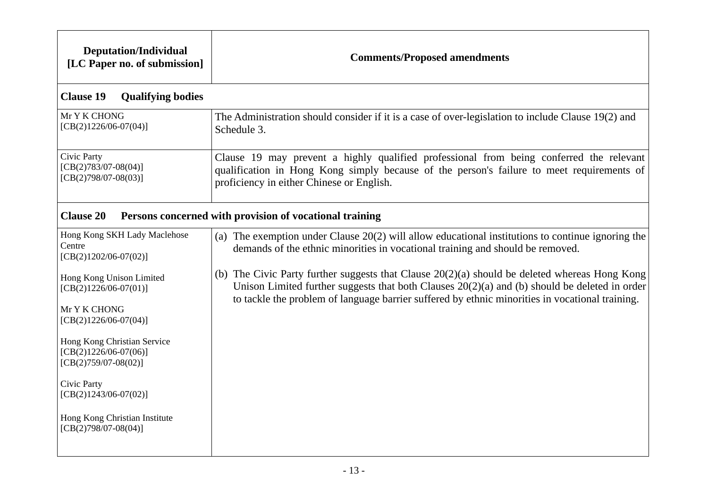| <b>Deputation/Individual</b><br>[LC Paper no. of submission]                     | <b>Comments/Proposed amendments</b>                                                                                                                                                                                                                                                                   |  |
|----------------------------------------------------------------------------------|-------------------------------------------------------------------------------------------------------------------------------------------------------------------------------------------------------------------------------------------------------------------------------------------------------|--|
| <b>Clause 19</b><br><b>Qualifying bodies</b>                                     |                                                                                                                                                                                                                                                                                                       |  |
| Mr Y K CHONG<br>$[CB(2)1226/06-07(04)]$                                          | The Administration should consider if it is a case of over-legislation to include Clause 19(2) and<br>Schedule 3.                                                                                                                                                                                     |  |
| Civic Party<br>$[CB(2)783/07-08(04)]$<br>$[CB(2)798/07-08(03)]$                  | Clause 19 may prevent a highly qualified professional from being conferred the relevant<br>qualification in Hong Kong simply because of the person's failure to meet requirements of<br>proficiency in either Chinese or English.                                                                     |  |
| <b>Clause 20</b><br>Persons concerned with provision of vocational training      |                                                                                                                                                                                                                                                                                                       |  |
| Hong Kong SKH Lady Maclehose<br>Centre<br>$[CB(2)1202/06-07(02)]$                | (a) The exemption under Clause $20(2)$ will allow educational institutions to continue ignoring the<br>demands of the ethnic minorities in vocational training and should be removed.                                                                                                                 |  |
| Hong Kong Unison Limited<br>$[CB(2)1226/06-07(01)]$                              | (b) The Civic Party further suggests that Clause $20(2)(a)$ should be deleted whereas Hong Kong<br>Unison Limited further suggests that both Clauses $20(2)(a)$ and (b) should be deleted in order<br>to tackle the problem of language barrier suffered by ethnic minorities in vocational training. |  |
| Mr Y K CHONG<br>$[CB(2)1226/06-07(04)]$                                          |                                                                                                                                                                                                                                                                                                       |  |
| Hong Kong Christian Service<br>$[CB(2)1226/06-07(06)]$<br>$[CB(2)759/07-08(02)]$ |                                                                                                                                                                                                                                                                                                       |  |
| Civic Party<br>$[CB(2)1243/06-07(02)]$                                           |                                                                                                                                                                                                                                                                                                       |  |
| Hong Kong Christian Institute<br>$[CB(2)798/07-08(04)]$                          |                                                                                                                                                                                                                                                                                                       |  |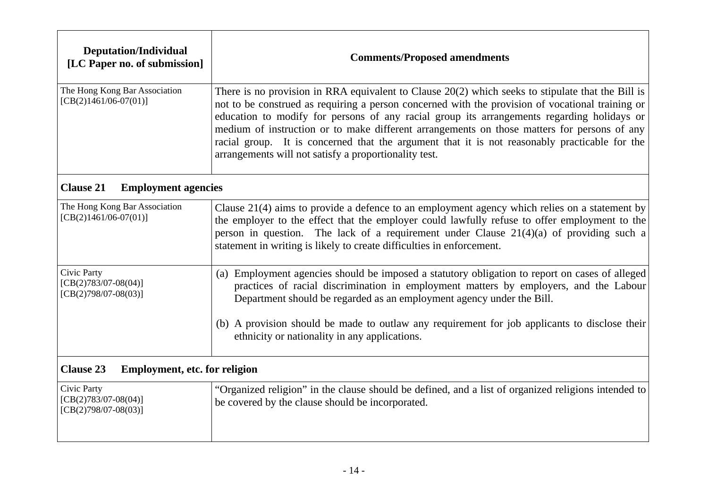| <b>Deputation/Individual</b><br>[LC Paper no. of submission]    | <b>Comments/Proposed amendments</b>                                                                                                                                                                                                                                                                                                                                                                                                                                                                                                                            |
|-----------------------------------------------------------------|----------------------------------------------------------------------------------------------------------------------------------------------------------------------------------------------------------------------------------------------------------------------------------------------------------------------------------------------------------------------------------------------------------------------------------------------------------------------------------------------------------------------------------------------------------------|
| The Hong Kong Bar Association<br>$[CB(2)1461/06-07(01)]$        | There is no provision in RRA equivalent to Clause $20(2)$ which seeks to stipulate that the Bill is<br>not to be construed as requiring a person concerned with the provision of vocational training or<br>education to modify for persons of any racial group its arrangements regarding holidays or<br>medium of instruction or to make different arrangements on those matters for persons of any<br>racial group. It is concerned that the argument that it is not reasonably practicable for the<br>arrangements will not satisfy a proportionality test. |
| <b>Clause 21</b><br><b>Employment agencies</b>                  |                                                                                                                                                                                                                                                                                                                                                                                                                                                                                                                                                                |
| The Hong Kong Bar Association<br>$[CB(2)1461/06-07(01)]$        | Clause 21(4) aims to provide a defence to an employment agency which relies on a statement by<br>the employer to the effect that the employer could lawfully refuse to offer employment to the<br>person in question. The lack of a requirement under Clause $21(4)(a)$ of providing such a<br>statement in writing is likely to create difficulties in enforcement.                                                                                                                                                                                           |
| Civic Party<br>$[CB(2)783/07-08(04)]$<br>$[CB(2)798/07-08(03)]$ | (a) Employment agencies should be imposed a statutory obligation to report on cases of alleged<br>practices of racial discrimination in employment matters by employers, and the Labour<br>Department should be regarded as an employment agency under the Bill.                                                                                                                                                                                                                                                                                               |
|                                                                 | (b) A provision should be made to outlaw any requirement for job applicants to disclose their<br>ethnicity or nationality in any applications.                                                                                                                                                                                                                                                                                                                                                                                                                 |
| <b>Clause 23</b><br><b>Employment, etc. for religion</b>        |                                                                                                                                                                                                                                                                                                                                                                                                                                                                                                                                                                |
| Civic Party<br>$[CB(2)783/07-08(04)]$<br>$[CB(2)798/07-08(03)]$ | "Organized religion" in the clause should be defined, and a list of organized religions intended to<br>be covered by the clause should be incorporated.                                                                                                                                                                                                                                                                                                                                                                                                        |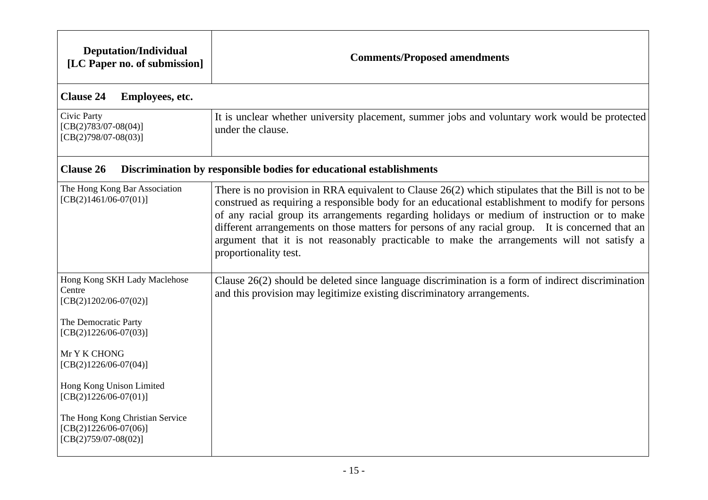| <b>Deputation/Individual</b><br>[LC Paper no. of submission]                                                         | <b>Comments/Proposed amendments</b>                                                                                                                                                                                                                                                                                                                                                                                                                                                                                                 |
|----------------------------------------------------------------------------------------------------------------------|-------------------------------------------------------------------------------------------------------------------------------------------------------------------------------------------------------------------------------------------------------------------------------------------------------------------------------------------------------------------------------------------------------------------------------------------------------------------------------------------------------------------------------------|
| <b>Clause 24</b><br>Employees, etc.                                                                                  |                                                                                                                                                                                                                                                                                                                                                                                                                                                                                                                                     |
| Civic Party<br>$[CB(2)783/07-08(04)]$<br>$[CB(2)798/07-08(03)]$                                                      | It is unclear whether university placement, summer jobs and voluntary work would be protected<br>under the clause.                                                                                                                                                                                                                                                                                                                                                                                                                  |
| <b>Clause 26</b>                                                                                                     | Discrimination by responsible bodies for educational establishments                                                                                                                                                                                                                                                                                                                                                                                                                                                                 |
| The Hong Kong Bar Association<br>$[CB(2)1461/06-07(01)]$                                                             | There is no provision in RRA equivalent to Clause $26(2)$ which stipulates that the Bill is not to be<br>construed as requiring a responsible body for an educational establishment to modify for persons<br>of any racial group its arrangements regarding holidays or medium of instruction or to make<br>different arrangements on those matters for persons of any racial group. It is concerned that an<br>argument that it is not reasonably practicable to make the arrangements will not satisfy a<br>proportionality test. |
| Hong Kong SKH Lady Maclehose<br>Centre<br>$[CB(2)1202/06-07(02)]$<br>The Democratic Party<br>$[CB(2)1226/06-07(03)]$ | Clause $26(2)$ should be deleted since language discrimination is a form of indirect discrimination<br>and this provision may legitimize existing discriminatory arrangements.                                                                                                                                                                                                                                                                                                                                                      |
| Mr Y K CHONG<br>$[CB(2)1226/06-07(04)]$                                                                              |                                                                                                                                                                                                                                                                                                                                                                                                                                                                                                                                     |
| Hong Kong Unison Limited<br>$[CB(2)1226/06-07(01)]$                                                                  |                                                                                                                                                                                                                                                                                                                                                                                                                                                                                                                                     |
| The Hong Kong Christian Service<br>$[CB(2)1226/06-07(06)]$<br>$[CB(2)759/07-08(02)]$                                 |                                                                                                                                                                                                                                                                                                                                                                                                                                                                                                                                     |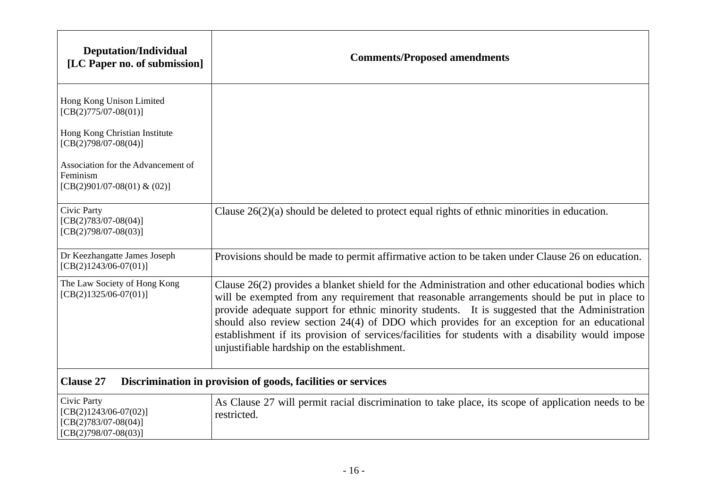| <b>Deputation/Individual</b><br>[LC Paper no. of submission]                               | <b>Comments/Proposed amendments</b>                                                                                                                                                                                                                                                                                                                                                                                                                                                                                                                   |
|--------------------------------------------------------------------------------------------|-------------------------------------------------------------------------------------------------------------------------------------------------------------------------------------------------------------------------------------------------------------------------------------------------------------------------------------------------------------------------------------------------------------------------------------------------------------------------------------------------------------------------------------------------------|
| Hong Kong Unison Limited<br>$[CB(2)775/07-08(01)]$                                         |                                                                                                                                                                                                                                                                                                                                                                                                                                                                                                                                                       |
| Hong Kong Christian Institute<br>$[CB(2)798/07-08(04)]$                                    |                                                                                                                                                                                                                                                                                                                                                                                                                                                                                                                                                       |
| Association for the Advancement of<br>Feminism<br>[CB(2)901/07-08(01) & (02)]              |                                                                                                                                                                                                                                                                                                                                                                                                                                                                                                                                                       |
| Civic Party<br>$[CB(2)783/07-08(04)]$<br>$[CB(2)798/07-08(03)]$                            | Clause $26(2)(a)$ should be deleted to protect equal rights of ethnic minorities in education.                                                                                                                                                                                                                                                                                                                                                                                                                                                        |
| Dr Keezhangatte James Joseph<br>$[CB(2)1243/06-07(01)]$                                    | Provisions should be made to permit affirmative action to be taken under Clause 26 on education.                                                                                                                                                                                                                                                                                                                                                                                                                                                      |
| The Law Society of Hong Kong<br>$[CB(2)1325/06-07(01)]$                                    | Clause 26(2) provides a blanket shield for the Administration and other educational bodies which<br>will be exempted from any requirement that reasonable arrangements should be put in place to<br>provide adequate support for ethnic minority students. It is suggested that the Administration<br>should also review section 24(4) of DDO which provides for an exception for an educational<br>establishment if its provision of services/facilities for students with a disability would impose<br>unjustifiable hardship on the establishment. |
| <b>Clause 27</b><br>Discrimination in provision of goods, facilities or services           |                                                                                                                                                                                                                                                                                                                                                                                                                                                                                                                                                       |
| Civic Party<br>$[CB(2)1243/06-07(02)]$<br>$[CB(2)783/07-08(04)]$<br>$[CB(2)798/07-08(03)]$ | As Clause 27 will permit racial discrimination to take place, its scope of application needs to be<br>restricted.                                                                                                                                                                                                                                                                                                                                                                                                                                     |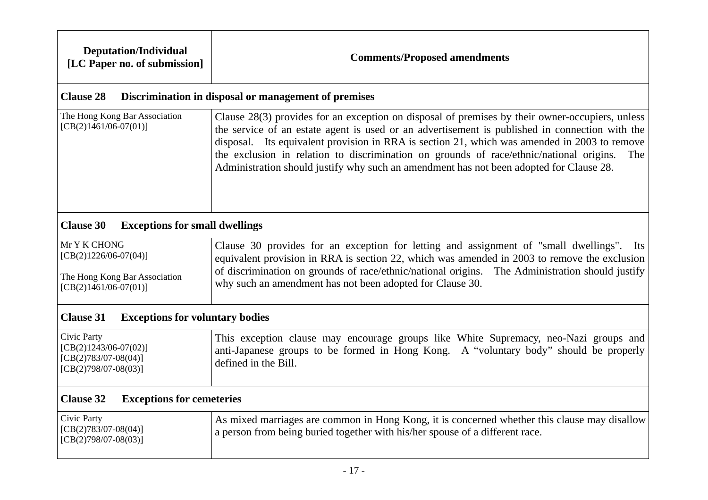| <b>Deputation/Individual</b><br>[LC Paper no. of submission]                                        | <b>Comments/Proposed amendments</b>                                                                                                                                                                                                                                                                                                                                                                                                                                                            |  |
|-----------------------------------------------------------------------------------------------------|------------------------------------------------------------------------------------------------------------------------------------------------------------------------------------------------------------------------------------------------------------------------------------------------------------------------------------------------------------------------------------------------------------------------------------------------------------------------------------------------|--|
| <b>Clause 28</b>                                                                                    | Discrimination in disposal or management of premises                                                                                                                                                                                                                                                                                                                                                                                                                                           |  |
| The Hong Kong Bar Association<br>$[CB(2)1461/06-07(01)]$                                            | Clause 28(3) provides for an exception on disposal of premises by their owner-occupiers, unless<br>the service of an estate agent is used or an advertisement is published in connection with the<br>disposal. Its equivalent provision in RRA is section 21, which was amended in 2003 to remove<br>the exclusion in relation to discrimination on grounds of race/ethnic/national origins.<br>The<br>Administration should justify why such an amendment has not been adopted for Clause 28. |  |
| <b>Clause 30</b><br><b>Exceptions for small dwellings</b>                                           |                                                                                                                                                                                                                                                                                                                                                                                                                                                                                                |  |
| Mr Y K CHONG<br>$[CB(2)1226/06-07(04)]$<br>The Hong Kong Bar Association<br>$[CB(2)1461/06-07(01)]$ | Clause 30 provides for an exception for letting and assignment of "small dwellings". Its<br>equivalent provision in RRA is section 22, which was amended in 2003 to remove the exclusion<br>of discrimination on grounds of race/ethnic/national origins. The Administration should justify<br>why such an amendment has not been adopted for Clause 30.                                                                                                                                       |  |
| <b>Clause 31</b><br><b>Exceptions for voluntary bodies</b>                                          |                                                                                                                                                                                                                                                                                                                                                                                                                                                                                                |  |
| Civic Party<br>$[CB(2)1243/06-07(02)]$<br>$[CB(2)783/07-08(04)]$<br>$[CB(2)798/07-08(03)]$          | This exception clause may encourage groups like White Supremacy, neo-Nazi groups and<br>anti-Japanese groups to be formed in Hong Kong. A "voluntary body" should be properly<br>defined in the Bill.                                                                                                                                                                                                                                                                                          |  |
| <b>Clause 32</b><br><b>Exceptions for cemeteries</b>                                                |                                                                                                                                                                                                                                                                                                                                                                                                                                                                                                |  |
| Civic Party<br>$[CB(2)783/07-08(04)]$<br>$[CB(2)798/07-08(03)]$                                     | As mixed marriages are common in Hong Kong, it is concerned whether this clause may disallow<br>a person from being buried together with his/her spouse of a different race.                                                                                                                                                                                                                                                                                                                   |  |
|                                                                                                     |                                                                                                                                                                                                                                                                                                                                                                                                                                                                                                |  |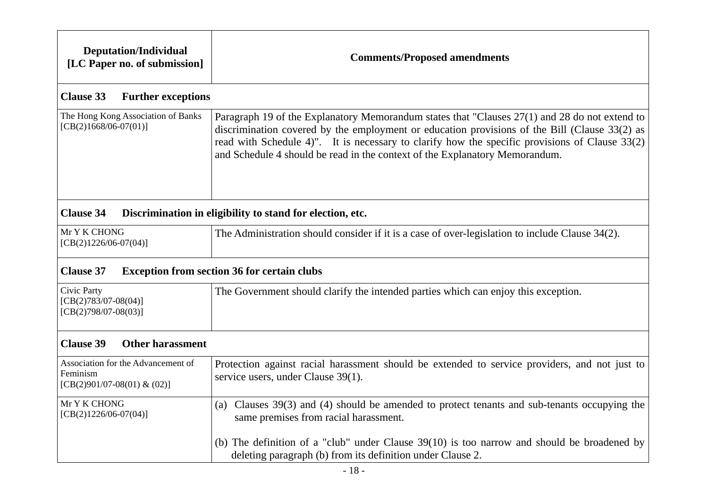| <b>Deputation/Individual</b><br>[LC Paper no. of submission]                  | <b>Comments/Proposed amendments</b>                                                                                                                                                                                                                                                                                                                                             |  |
|-------------------------------------------------------------------------------|---------------------------------------------------------------------------------------------------------------------------------------------------------------------------------------------------------------------------------------------------------------------------------------------------------------------------------------------------------------------------------|--|
| <b>Clause 33</b><br><b>Further exceptions</b>                                 |                                                                                                                                                                                                                                                                                                                                                                                 |  |
| The Hong Kong Association of Banks<br>$[CB(2)1668/06-07(01)]$                 | Paragraph 19 of the Explanatory Memorandum states that "Clauses 27(1) and 28 do not extend to<br>discrimination covered by the employment or education provisions of the Bill (Clause 33(2) as<br>read with Schedule 4)". It is necessary to clarify how the specific provisions of Clause 33(2)<br>and Schedule 4 should be read in the context of the Explanatory Memorandum. |  |
| <b>Clause 34</b><br>Discrimination in eligibility to stand for election, etc. |                                                                                                                                                                                                                                                                                                                                                                                 |  |
| Mr Y K CHONG<br>$[CB(2)1226/06-07(04)]$                                       | The Administration should consider if it is a case of over-legislation to include Clause 34(2).                                                                                                                                                                                                                                                                                 |  |
| <b>Clause 37</b><br><b>Exception from section 36 for certain clubs</b>        |                                                                                                                                                                                                                                                                                                                                                                                 |  |
| Civic Party<br>$[CB(2)783/07-08(04)]$<br>$[CB(2)798/07-08(03)]$               | The Government should clarify the intended parties which can enjoy this exception.                                                                                                                                                                                                                                                                                              |  |
| <b>Clause 39</b><br><b>Other harassment</b>                                   |                                                                                                                                                                                                                                                                                                                                                                                 |  |
| Association for the Advancement of<br>Feminism<br>[CB(2)901/07-08(01) & (02)] | Protection against racial harassment should be extended to service providers, and not just to<br>service users, under Clause 39(1).                                                                                                                                                                                                                                             |  |
| Mr Y K CHONG<br>$[CB(2)1226/06-07(04)]$                                       | Clauses 39(3) and (4) should be amended to protect tenants and sub-tenants occupying the<br>(a)<br>same premises from racial harassment.                                                                                                                                                                                                                                        |  |
|                                                                               | (b) The definition of a "club" under Clause $39(10)$ is too narrow and should be broadened by<br>deleting paragraph (b) from its definition under Clause 2.                                                                                                                                                                                                                     |  |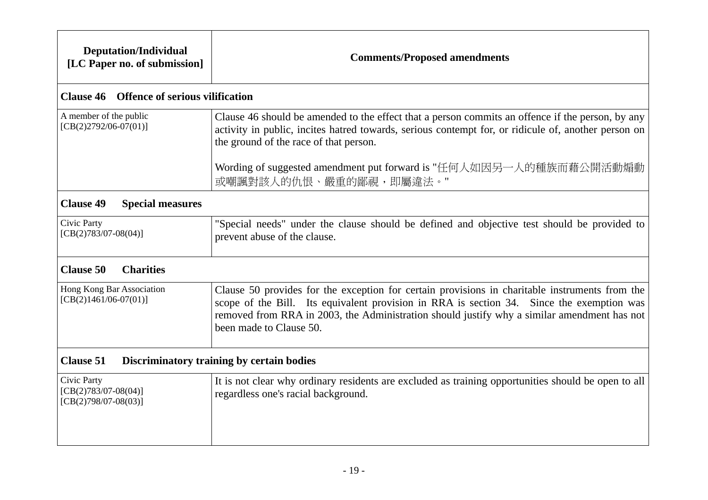| <b>Deputation/Individual</b><br>[LC Paper no. of submission]    | <b>Comments/Proposed amendments</b>                                                                                                                                                                                                                                                                                   |  |
|-----------------------------------------------------------------|-----------------------------------------------------------------------------------------------------------------------------------------------------------------------------------------------------------------------------------------------------------------------------------------------------------------------|--|
| <b>Clause 46 Offence of serious vilification</b>                |                                                                                                                                                                                                                                                                                                                       |  |
| A member of the public<br>$[CB(2)2792/06-07(01)]$               | Clause 46 should be amended to the effect that a person commits an offence if the person, by any<br>activity in public, incites hatred towards, serious contempt for, or ridicule of, another person on<br>the ground of the race of that person.                                                                     |  |
|                                                                 | Wording of suggested amendment put forward is "任何人如因另一人的種族而藉公開活動煽動<br>或嘲諷對該人的仇恨、嚴重的鄙視,即屬違法。"                                                                                                                                                                                                                          |  |
| <b>Clause 49</b><br><b>Special measures</b>                     |                                                                                                                                                                                                                                                                                                                       |  |
| Civic Party<br>$[CB(2)783/07-08(04)]$                           | "Special needs" under the clause should be defined and objective test should be provided to<br>prevent abuse of the clause.                                                                                                                                                                                           |  |
| <b>Clause 50</b><br><b>Charities</b>                            |                                                                                                                                                                                                                                                                                                                       |  |
| Hong Kong Bar Association<br>$[CB(2)1461/06-07(01)]$            | Clause 50 provides for the exception for certain provisions in charitable instruments from the<br>scope of the Bill. Its equivalent provision in RRA is section 34. Since the exemption was<br>removed from RRA in 2003, the Administration should justify why a similar amendment has not<br>been made to Clause 50. |  |
| <b>Clause 51</b><br>Discriminatory training by certain bodies   |                                                                                                                                                                                                                                                                                                                       |  |
| Civic Party<br>$[CB(2)783/07-08(04)]$<br>$[CB(2)798/07-08(03)]$ | It is not clear why ordinary residents are excluded as training opportunities should be open to all<br>regardless one's racial background.                                                                                                                                                                            |  |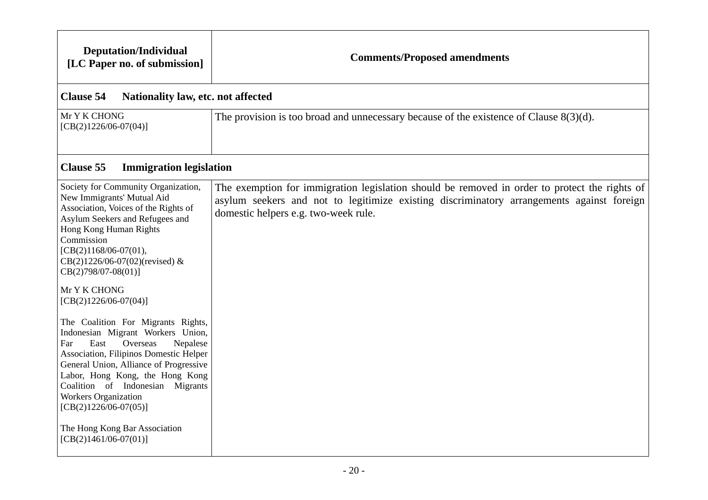| <b>Deputation/Individual</b><br>[LC Paper no. of submission]                                                                                                                                                                                                                                                                                                                                                                                                                                                                    | <b>Comments/Proposed amendments</b>                                                                                                                                                                                                |
|---------------------------------------------------------------------------------------------------------------------------------------------------------------------------------------------------------------------------------------------------------------------------------------------------------------------------------------------------------------------------------------------------------------------------------------------------------------------------------------------------------------------------------|------------------------------------------------------------------------------------------------------------------------------------------------------------------------------------------------------------------------------------|
| <b>Clause 54</b><br>Nationality law, etc. not affected                                                                                                                                                                                                                                                                                                                                                                                                                                                                          |                                                                                                                                                                                                                                    |
| Mr Y K CHONG<br>$[CB(2)1226/06-07(04)]$                                                                                                                                                                                                                                                                                                                                                                                                                                                                                         | The provision is too broad and unnecessary because of the existence of Clause 8(3)(d).                                                                                                                                             |
| <b>Clause 55</b><br><b>Immigration legislation</b>                                                                                                                                                                                                                                                                                                                                                                                                                                                                              |                                                                                                                                                                                                                                    |
| Society for Community Organization,<br>New Immigrants' Mutual Aid<br>Association, Voices of the Rights of<br>Asylum Seekers and Refugees and<br>Hong Kong Human Rights<br>Commission<br>$[CB(2)1168/06-07(01),$<br>$CB(2)1226/06-07(02)$ (revised) &<br>$CB(2)798/07-08(01)$ ]<br>Mr Y K CHONG<br>$[CB(2)1226/06-07(04)]$<br>The Coalition For Migrants Rights,<br>Indonesian Migrant Workers Union,<br>East<br>Overseas<br>Far<br>Nepalese<br>Association, Filipinos Domestic Helper<br>General Union, Alliance of Progressive | The exemption for immigration legislation should be removed in order to protect the rights of<br>asylum seekers and not to legitimize existing discriminatory arrangements against foreign<br>domestic helpers e.g. two-week rule. |
| Labor, Hong Kong, the Hong Kong<br>Coalition of Indonesian Migrants<br>Workers Organization<br>$[CB(2)1226/06-07(05)]$<br>The Hong Kong Bar Association<br>$[CB(2)1461/06-07(01)]$                                                                                                                                                                                                                                                                                                                                              |                                                                                                                                                                                                                                    |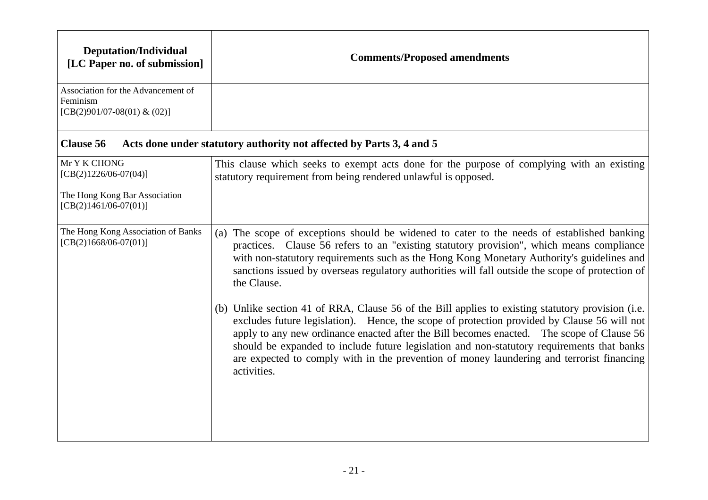| <b>Deputation/Individual</b><br>[LC Paper no. of submission]                                        | <b>Comments/Proposed amendments</b>                                                                                                                                                                                                                                                                                                                                                                                                                                                                     |
|-----------------------------------------------------------------------------------------------------|---------------------------------------------------------------------------------------------------------------------------------------------------------------------------------------------------------------------------------------------------------------------------------------------------------------------------------------------------------------------------------------------------------------------------------------------------------------------------------------------------------|
| Association for the Advancement of<br>Feminism<br>[CB(2)901/07-08(01) & (02)]                       |                                                                                                                                                                                                                                                                                                                                                                                                                                                                                                         |
| <b>Clause 56</b>                                                                                    | Acts done under statutory authority not affected by Parts 3, 4 and 5                                                                                                                                                                                                                                                                                                                                                                                                                                    |
| Mr Y K CHONG<br>$[CB(2)1226/06-07(04)]$<br>The Hong Kong Bar Association<br>$[CB(2)1461/06-07(01)]$ | This clause which seeks to exempt acts done for the purpose of complying with an existing<br>statutory requirement from being rendered unlawful is opposed.                                                                                                                                                                                                                                                                                                                                             |
| The Hong Kong Association of Banks<br>$[CB(2)1668/06-07(01)]$                                       | (a) The scope of exceptions should be widened to cater to the needs of established banking<br>practices. Clause 56 refers to an "existing statutory provision", which means compliance<br>with non-statutory requirements such as the Hong Kong Monetary Authority's guidelines and<br>sanctions issued by overseas regulatory authorities will fall outside the scope of protection of<br>the Clause.                                                                                                  |
|                                                                                                     | (b) Unlike section 41 of RRA, Clause 56 of the Bill applies to existing statutory provision (i.e.<br>excludes future legislation). Hence, the scope of protection provided by Clause 56 will not<br>apply to any new ordinance enacted after the Bill becomes enacted. The scope of Clause 56<br>should be expanded to include future legislation and non-statutory requirements that banks<br>are expected to comply with in the prevention of money laundering and terrorist financing<br>activities. |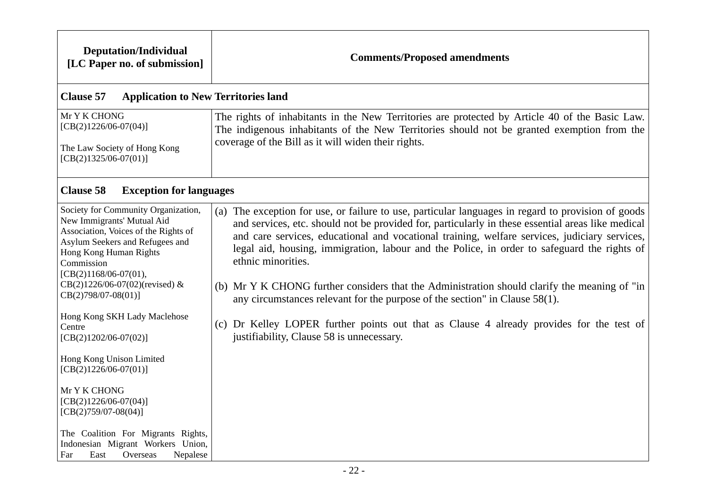| <b>Deputation/Individual</b><br>[LC Paper no. of submission]                                                                                                                                                                                         | <b>Comments/Proposed amendments</b>                                                                                                                                                                                                                                                                                                                                                                                                                                                                                           |
|------------------------------------------------------------------------------------------------------------------------------------------------------------------------------------------------------------------------------------------------------|-------------------------------------------------------------------------------------------------------------------------------------------------------------------------------------------------------------------------------------------------------------------------------------------------------------------------------------------------------------------------------------------------------------------------------------------------------------------------------------------------------------------------------|
| <b>Clause 57</b><br><b>Application to New Territories land</b>                                                                                                                                                                                       |                                                                                                                                                                                                                                                                                                                                                                                                                                                                                                                               |
| Mr Y K CHONG<br>$[CB(2)1226/06-07(04)]$<br>The Law Society of Hong Kong<br>$[CB(2)1325/06-07(01)]$                                                                                                                                                   | The rights of inhabitants in the New Territories are protected by Article 40 of the Basic Law.<br>The indigenous inhabitants of the New Territories should not be granted exemption from the<br>coverage of the Bill as it will widen their rights.                                                                                                                                                                                                                                                                           |
| <b>Clause 58</b><br><b>Exception for languages</b>                                                                                                                                                                                                   |                                                                                                                                                                                                                                                                                                                                                                                                                                                                                                                               |
| Society for Community Organization,<br>New Immigrants' Mutual Aid<br>Association, Voices of the Rights of<br>Asylum Seekers and Refugees and<br>Hong Kong Human Rights<br>Commission<br>$[CB(2)1168/06-07(01),$<br>$CB(2)1226/06-07(02)$ (revised) & | (a) The exception for use, or failure to use, particular languages in regard to provision of goods<br>and services, etc. should not be provided for, particularly in these essential areas like medical<br>and care services, educational and vocational training, welfare services, judiciary services,<br>legal aid, housing, immigration, labour and the Police, in order to safeguard the rights of<br>ethnic minorities.<br>(b) Mr Y K CHONG further considers that the Administration should clarify the meaning of "in |
| $CB(2)798/07-08(01)$ ]                                                                                                                                                                                                                               | any circumstances relevant for the purpose of the section" in Clause $58(1)$ .                                                                                                                                                                                                                                                                                                                                                                                                                                                |
| Hong Kong SKH Lady Maclehose<br>Centre<br>$[CB(2)1202/06-07(02)]$                                                                                                                                                                                    | (c) Dr Kelley LOPER further points out that as Clause 4 already provides for the test of<br>justifiability, Clause 58 is unnecessary.                                                                                                                                                                                                                                                                                                                                                                                         |
| Hong Kong Unison Limited<br>$[CB(2)1226/06-07(01)]$                                                                                                                                                                                                  |                                                                                                                                                                                                                                                                                                                                                                                                                                                                                                                               |
| Mr Y K CHONG<br>$[CB(2)1226/06-07(04)]$<br>$[CB(2)759/07-08(04)]$                                                                                                                                                                                    |                                                                                                                                                                                                                                                                                                                                                                                                                                                                                                                               |
| The Coalition For Migrants Rights,<br>Indonesian Migrant Workers Union,<br>Nepalese<br>Far<br>East<br>Overseas                                                                                                                                       |                                                                                                                                                                                                                                                                                                                                                                                                                                                                                                                               |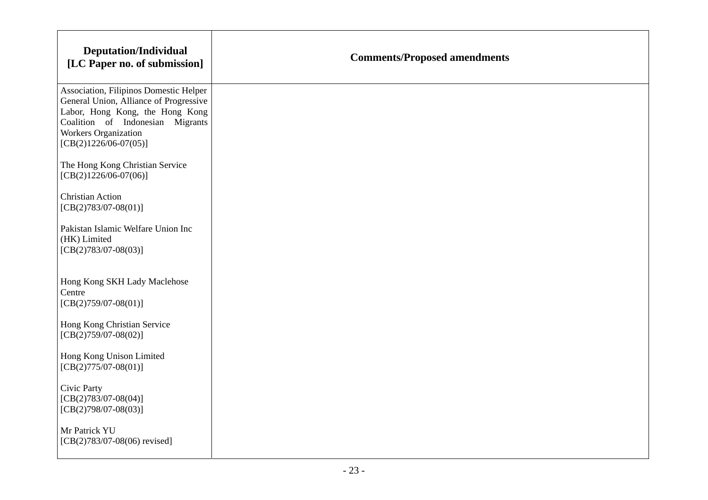| <b>Deputation/Individual</b><br>[LC Paper no. of submission]                                                                                                                                               | <b>Comments/Proposed amendments</b> |
|------------------------------------------------------------------------------------------------------------------------------------------------------------------------------------------------------------|-------------------------------------|
| Association, Filipinos Domestic Helper<br>General Union, Alliance of Progressive<br>Labor, Hong Kong, the Hong Kong<br>Coalition of Indonesian Migrants<br>Workers Organization<br>$[CB(2)1226/06-07(05)]$ |                                     |
| The Hong Kong Christian Service<br>$[CB(2)1226/06-07(06)]$                                                                                                                                                 |                                     |
| <b>Christian Action</b><br>$[CB(2)783/07-08(01)]$                                                                                                                                                          |                                     |
| Pakistan Islamic Welfare Union Inc<br>(HK) Limited<br>$[CB(2)783/07-08(03)]$                                                                                                                               |                                     |
| Hong Kong SKH Lady Maclehose<br>Centre<br>$[CB(2)759/07-08(01)]$                                                                                                                                           |                                     |
| Hong Kong Christian Service<br>$[CB(2)759/07-08(02)]$                                                                                                                                                      |                                     |
| Hong Kong Unison Limited<br>$[CB(2)775/07-08(01)]$                                                                                                                                                         |                                     |
| Civic Party<br>$[CB(2)783/07-08(04)]$<br>$[CB(2)798/07-08(03)]$                                                                                                                                            |                                     |
| Mr Patrick YU<br>$[CB(2)783/07-08(06)$ revised]                                                                                                                                                            |                                     |

 $\Gamma$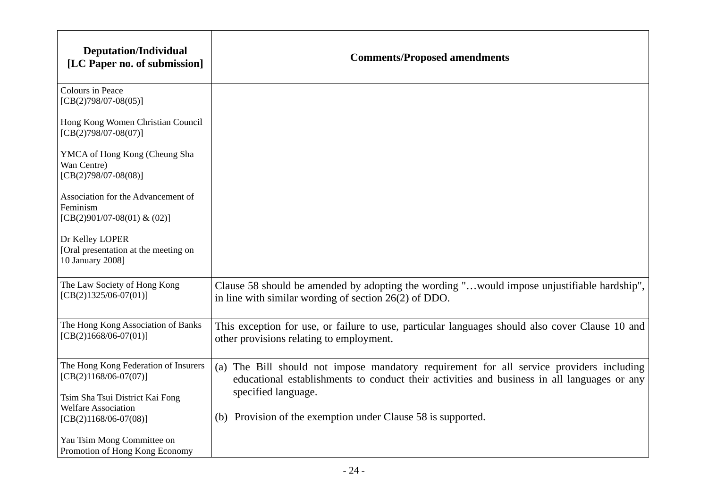| <b>Deputation/Individual</b><br>[LC Paper no. of submission]                                       | <b>Comments/Proposed amendments</b>                                                                                                                                                                            |
|----------------------------------------------------------------------------------------------------|----------------------------------------------------------------------------------------------------------------------------------------------------------------------------------------------------------------|
| Colours in Peace<br>$[CB(2)798/07-08(05)]$                                                         |                                                                                                                                                                                                                |
| Hong Kong Women Christian Council<br>$[CB(2)798/07-08(07)]$                                        |                                                                                                                                                                                                                |
| YMCA of Hong Kong (Cheung Sha<br>Wan Centre)<br>$[CB(2)798/07-08(08)]$                             |                                                                                                                                                                                                                |
| Association for the Advancement of<br>Feminism<br>[CB(2)901/07-08(01) & (02)]                      |                                                                                                                                                                                                                |
| Dr Kelley LOPER<br>[Oral presentation at the meeting on<br>10 January 2008]                        |                                                                                                                                                                                                                |
| The Law Society of Hong Kong<br>$[CB(2)1325/06-07(01)]$                                            | Clause 58 should be amended by adopting the wording "would impose unjustifiable hardship",<br>in line with similar wording of section $26(2)$ of DDO.                                                          |
| The Hong Kong Association of Banks<br>$[CB(2)1668/06-07(01)]$                                      | This exception for use, or failure to use, particular languages should also cover Clause 10 and<br>other provisions relating to employment.                                                                    |
| The Hong Kong Federation of Insurers<br>$[CB(2)1168/06-07(07)]$<br>Tsim Sha Tsui District Kai Fong | (a) The Bill should not impose mandatory requirement for all service providers including<br>educational establishments to conduct their activities and business in all languages or any<br>specified language. |
| <b>Welfare Association</b><br>$[CB(2)1168/06-07(08)]$                                              | (b) Provision of the exemption under Clause 58 is supported.                                                                                                                                                   |
| Yau Tsim Mong Committee on<br>Promotion of Hong Kong Economy                                       |                                                                                                                                                                                                                |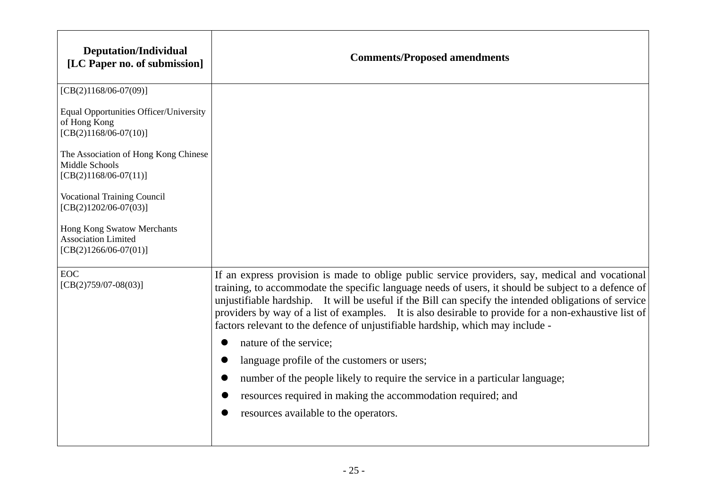| <b>Deputation/Individual</b><br>[LC Paper no. of submission]                        | <b>Comments/Proposed amendments</b>                                                                                                                                                                                                                                                                                                                                                                                                                                                                       |
|-------------------------------------------------------------------------------------|-----------------------------------------------------------------------------------------------------------------------------------------------------------------------------------------------------------------------------------------------------------------------------------------------------------------------------------------------------------------------------------------------------------------------------------------------------------------------------------------------------------|
| $[CB(2)1168/06-07(09)]$                                                             |                                                                                                                                                                                                                                                                                                                                                                                                                                                                                                           |
| Equal Opportunities Officer/University<br>of Hong Kong<br>$[CB(2)1168/06-07(10)]$   |                                                                                                                                                                                                                                                                                                                                                                                                                                                                                                           |
| The Association of Hong Kong Chinese<br>Middle Schools<br>$[CB(2)1168/06-07(11)]$   |                                                                                                                                                                                                                                                                                                                                                                                                                                                                                                           |
| <b>Vocational Training Council</b><br>$[CB(2)1202/06-07(03)]$                       |                                                                                                                                                                                                                                                                                                                                                                                                                                                                                                           |
| Hong Kong Swatow Merchants<br><b>Association Limited</b><br>$[CB(2)1266/06-07(01)]$ |                                                                                                                                                                                                                                                                                                                                                                                                                                                                                                           |
| <b>EOC</b><br>$[CB(2)759/07-08(03)]$                                                | If an express provision is made to oblige public service providers, say, medical and vocational<br>training, to accommodate the specific language needs of users, it should be subject to a defence of<br>unjustifiable hardship. It will be useful if the Bill can specify the intended obligations of service<br>providers by way of a list of examples. It is also desirable to provide for a non-exhaustive list of<br>factors relevant to the defence of unjustifiable hardship, which may include - |
|                                                                                     | nature of the service;                                                                                                                                                                                                                                                                                                                                                                                                                                                                                    |
|                                                                                     | language profile of the customers or users;                                                                                                                                                                                                                                                                                                                                                                                                                                                               |
|                                                                                     | number of the people likely to require the service in a particular language;                                                                                                                                                                                                                                                                                                                                                                                                                              |
|                                                                                     | resources required in making the accommodation required; and                                                                                                                                                                                                                                                                                                                                                                                                                                              |
|                                                                                     | resources available to the operators.                                                                                                                                                                                                                                                                                                                                                                                                                                                                     |
|                                                                                     |                                                                                                                                                                                                                                                                                                                                                                                                                                                                                                           |

 $\Gamma$